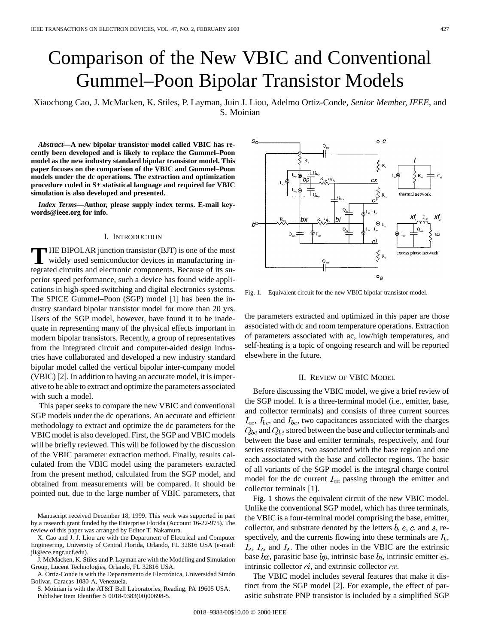# Comparison of the New VBIC and Conventional Gummel–Poon Bipolar Transistor Models

Xiaochong Cao, J. McMacken, K. Stiles, P. Layman, Juin J. Liou, Adelmo Ortiz-Conde*, Senior Member, IEEE*, and S. Moinian

*Abstract—***A new bipolar transistor model called VBIC has recently been developed and is likely to replace the Gummel–Poon model as the new industry standard bipolar transistor model. This paper focuses on the comparison of the VBIC and Gummel–Poon models under the dc operations. The extraction and optimization procedure coded in S+ statistical language and required for VBIC simulation is also developed and presented.**

*Index Terms—***Author, please supply index terms. E-mail keywords@ieee.org for info.**

#### I. INTRODUCTION

**T** HE BIPOLAR junction transistor (BJT) is one of the most widely used semiconductor devices in manufacturing integrated circuits and electronic components. Because of its superior speed performance, such a device has found wide applications in high-speed switching and digital electronics systems. The SPICE Gummel–Poon (SGP) model [1] has been the industry standard bipolar transistor model for more than 20 yrs. Users of the SGP model, however, have found it to be inadequate in representing many of the physical effects important in modern bipolar transistors. Recently, a group of representatives from the integrated circuit and computer-aided design industries have collaborated and developed a new industry standard bipolar model called the vertical bipolar inter-company model (VBIC) [2]. In addition to having an accurate model, it is imperative to be able to extract and optimize the parameters associated with such a model.

This paper seeks to compare the new VBIC and conventional SGP models under the dc operations. An accurate and efficient methodology to extract and optimize the dc parameters for the VBIC model is also developed. First, the SGP and VBIC models will be briefly reviewed. This will be followed by the discussion of the VBIC parameter extraction method. Finally, results calculated from the VBIC model using the parameters extracted from the present method, calculated from the SGP model, and obtained from measurements will be compared. It should be pointed out, due to the large number of VBIC parameters, that

Manuscript received December 18, 1999. This work was supported in part by a research grant funded by the Enterprise Florida (Account 16-22-975). The review of this paper was arranged by Editor T. Nakamura.

X. Cao and J. J. Liou are with the Department of Electrical and Computer Engineering, University of Central Florida, Orlando, FL 32816 USA (e-mail: jli@ece.engr.ucf.edu).

J. McMacken, K. Stiles and P. Layman are with the Modeling and Simulation Group, Lucent Technologies, Orlando, FL 32816 USA.

A. Ortiz-Conde is with the Departamento de Electrónica, Universidad Simón Bolívar, Caracas 1080-A, Venezuela.

S. Moinian is with the AT&T Bell Laboratories, Reading, PA 19605 USA. Publisher Item Identifier S 0018-9383(00)00698-5.



Fig. 1. Equivalent circuit for the new VBIC bipolar transistor model.

the parameters extracted and optimized in this paper are those associated with dc and room temperature operations. Extraction of parameters associated with ac, low/high temperatures, and self-heating is a topic of ongoing research and will be reported elsewhere in the future.

#### II. REVIEW OF VBIC MODEL

Before discussing the VBIC model, we give a brief review of the SGP model. It is a three-terminal model (i.e., emitter, base, and collector terminals) and consists of three current sources  $I_{cc}$ ,  $I_{bc}$ , and  $I_{be}$ , two capacitances associated with the charges  $Q_{bc}$  and  $Q_{be}$  stored between the base and collector terminals and between the base and emitter terminals, respectively, and four series resistances, two associated with the base region and one each associated with the base and collector regions. The basic of all variants of the SGP model is the integral charge control model for the dc current  $I_{cc}$  passing through the emitter and collector terminals [1].

Fig. 1 shows the equivalent circuit of the new VBIC model. Unlike the conventional SGP model, which has three terminals, the VBIC is a four-terminal model comprising the base, emitter, collector, and substrate denoted by the letters  $b, e, c$ , and  $s$ , respectively, and the currents flowing into these terminals are  $I<sub>b</sub>$ ,  $I_e$ ,  $I_c$ , and  $I_s$ . The other nodes in the VBIC are the extrinsic base  $bx$ , parasitic base  $bp$ , intrinsic base  $bi$ , intrinsic emitter  $ei$ , intrinsic collector  $ci$ , and extrinsic collector  $cx$ .

The VBIC model includes several features that make it distinct from the SGP model [2]. For example, the effect of parasitic substrate PNP transistor is included by a simplified SGP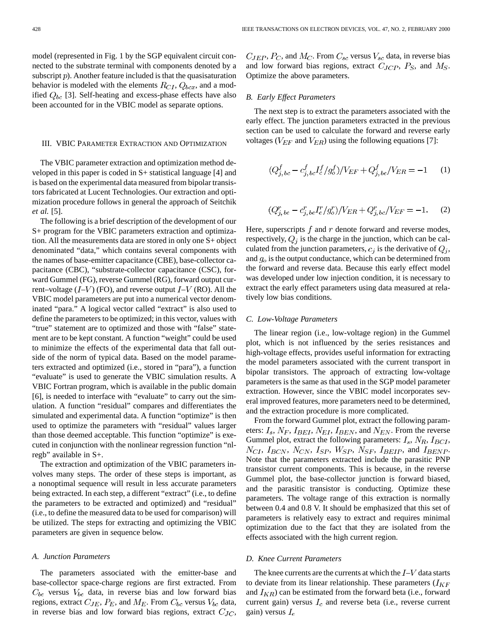model (represented in Fig. 1 by the SGP equivalent circuit connected to the substrate terminal with components denoted by a subscript  $p$ ). Another feature included is that the quasisaturation behavior is modeled with the elements  $R_{CI}$ ,  $Q_{bcx}$ , and a modified  $Q_{bc}$  [3]. Self-heating and excess-phase effects have also been accounted for in the VBIC model as separate options.

#### III. VBIC PARAMETER EXTRACTION AND OPTIMIZATION

The VBIC parameter extraction and optimization method developed in this paper is coded in S+ statistical language [4] and is based on the experimental data measured from bipolar transistors fabricated at Lucent Technologies. Our extraction and optimization procedure follows in general the approach of Seitchik *et al.* [5].

The following is a brief description of the development of our S+ program for the VBIC parameters extraction and optimization. All the measurements data are stored in only one S+ object denominated "data," which contains several components with the names of base-emitter capacitance (CBE), base-collector capacitance (CBC), "substrate-collector capacitance (CSC), forward Gummel (FG), reverse Gummel (RG), forward output current–voltage  $(I-V)$  (FO), and reverse output  $I-V$  (RO). All the VBIC model parameters are put into a numerical vector denominated "para." A logical vector called "extract" is also used to define the parameters to be optimized; in this vector, values with "true" statement are to optimized and those with "false" statement are to be kept constant. A function "weight" could be used to minimize the effects of the experimental data that fall outside of the norm of typical data. Based on the model parameters extracted and optimized (i.e., stored in "para"), a function "evaluate" is used to generate the VBIC simulation results. A VBIC Fortran program, which is available in the public domain [6], is needed to interface with "evaluate" to carry out the simulation. A function "residual" compares and differentiates the simulated and experimental data. A function "optimize" is then used to optimize the parameters with "residual" values larger than those deemed acceptable. This function "optimize" is executed in conjunction with the nonlinear regression function "nlregb" available in S+.

The extraction and optimization of the VBIC parameters involves many steps. The order of these steps is important, as a nonoptimal sequence will result in less accurate parameters being extracted. In each step, a different "extract" (i.e., to define the parameters to be extracted and optimized) and "residual" (i.e., to define the measured data to be used for comparison) will be utilized. The steps for extracting and optimizing the VBIC parameters are given in sequence below.

#### *A. Junction Parameters*

The parameters associated with the emitter-base and base-collector space-charge regions are first extracted. From  $C_{be}$  versus  $V_{be}$  data, in reverse bias and low forward bias regions, extract  $C_{JE}$ ,  $P_E$ , and  $M_E$ . From  $C_{bc}$  versus  $V_{bc}$  data, in reverse bias and low forward bias regions, extract  $C_{JC}$ ,  $C_{JEP}, P_C$ , and  $M_C$ . From  $C_{sc}$  versus  $V_{sc}$  data, in reverse bias and low forward bias regions, extract  $C_{JCP}$ ,  $P_S$ , and  $M_S$ . Optimize the above parameters.

#### *B. Early Effect Parameters*

The next step is to extract the parameters associated with the early effect. The junction parameters extracted in the previous section can be used to calculate the forward and reverse early voltages ( $V_{EF}$  and  $V_{ER}$ ) using the following equations [7]:

$$
(Q_{j, bc}^{f} - c_{j, bc}^{f} I_{c}^{f} / g_{o}^{f}) / V_{EF} + Q_{j, be}^{f} / V_{ER} = -1
$$
 (1)

$$
(Q_{j, be}^{r} - c_{j, be}^{r} I_{e}^{r}/g_{o}^{r})/V_{ER} + Q_{j, bc}^{r}/V_{EF} = -1.
$$
 (2)

Here, superscripts  $f$  and  $r$  denote forward and reverse modes, respectively,  $Q_i$  is the charge in the junction, which can be calculated from the junction parameters,  $c_j$  is the derivative of  $Q_j$ , and  $g<sub>o</sub>$  is the output conductance, which can be determined from the forward and reverse data. Because this early effect model was developed under low injection condition, it is necessary to extract the early effect parameters using data measured at relatively low bias conditions.

#### *C. Low-Voltage Parameters*

The linear region (i.e., low-voltage region) in the Gummel plot, which is not influenced by the series resistances and high-voltage effects, provides useful information for extracting the model parameters associated with the current transport in bipolar transistors. The approach of extracting low-voltage parameters is the same as that used in the SGP model parameter extraction. However, since the VBIC model incorporates several improved features, more parameters need to be determined, and the extraction procedure is more complicated.

From the forward Gummel plot, extract the following parameters:  $I_s$ ,  $N_F$ ,  $I_{BEL}$ ,  $N_{EI}$ ,  $I_{ BEN}$ , and  $N_{EN}$ . From the reverse Gummel plot, extract the following parameters:  $I_s$ ,  $N_R$ ,  $I_{BCI}$ ,  $N_{CI}, I_{BCN}, N_{CN}, I_{SP}, W_{SP}, N_{SF}, I_{BEIP},$  and  $I_{BENP}$ . Note that the parameters extracted include the parasitic PNP transistor current components. This is because, in the reverse Gummel plot, the base-collector junction is forward biased, and the parasitic transistor is conducting. Optimize these parameters. The voltage range of this extraction is normally between 0.4 and 0.8 V. It should be emphasized that this set of parameters is relatively easy to extract and requires minimal optimization due to the fact that they are isolated from the effects associated with the high current region.

#### *D. Knee Current Parameters*

The knee currents are the currents at which the  $I-V$  data starts to deviate from its linear relationship. These parameters  $(I_{KF})$ and  $I_{KR}$ ) can be estimated from the forward beta (i.e., forward current gain) versus  $I_c$  and reverse beta (i.e., reverse current gain) versus  $I_e$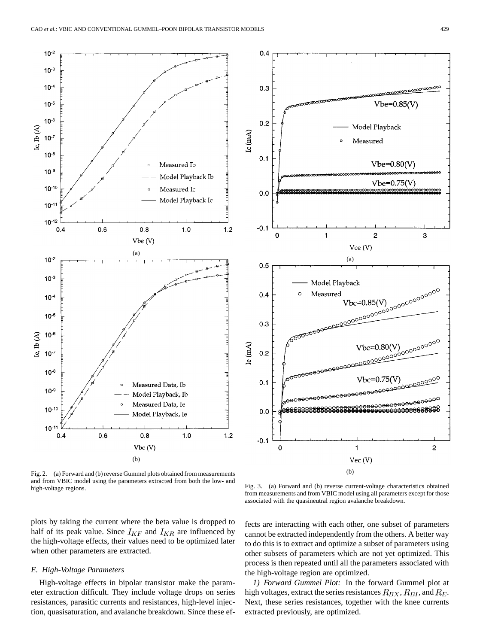

Fig. 2. (a) Forward and (b) reverse Gummel plots obtained from measurements and from VBIC model using the parameters extracted from both the low- and high-voltage regions.

plots by taking the current where the beta value is dropped to half of its peak value. Since  $I_{KF}$  and  $I_{KR}$  are influenced by the high-voltage effects, their values need to be optimized later when other parameters are extracted.

# *E. High-Voltage Parameters*

High-voltage effects in bipolar transistor make the parameter extraction difficult. They include voltage drops on series resistances, parasitic currents and resistances, high-level injection, quasisaturation, and avalanche breakdown. Since these ef-

Fig. 3. (a) Forward and (b) reverse current-voltage characteristics obtained from measurements and from VBIC model using all parameters except for those associated with the quasineutral region avalanche breakdown.

fects are interacting with each other, one subset of parameters cannot be extracted independently from the others. A better way to do this is to extract and optimize a subset of parameters using other subsets of parameters which are not yet optimized. This process is then repeated until all the parameters associated with the high-voltage region are optimized.

*1) Forward Gummel Plot:* In the forward Gummel plot at high voltages, extract the series resistances  $R_{BX}$ ,  $R_{BI}$ , and  $R_E$ . Next, these series resistances, together with the knee currents extracted previously, are optimized.

 $\overline{\mathbf{c}}$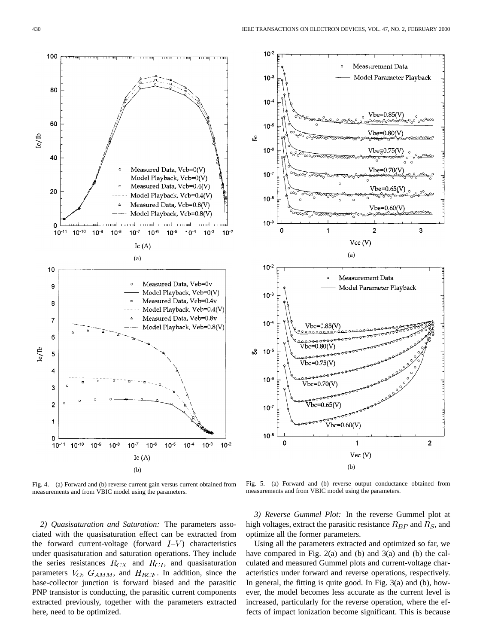

Fig. 4. (a) Forward and (b) reverse current gain versus current obtained from measurements and from VBIC model using the parameters.

*2) Quasisaturation and Saturation:* The parameters associated with the quasisaturation effect can be extracted from the forward current-voltage (forward  $I-V$ ) characteristics under quasisaturation and saturation operations. They include the series resistances  $R_{CX}$  and  $R_{CI}$ , and quasisaturation parameters  $V_O$ ,  $G_{AMM}$ , and  $H_{RCF}$ . In addition, since the base-collector junction is forward biased and the parasitic PNP transistor is conducting, the parasitic current components extracted previously, together with the parameters extracted here, need to be optimized.



Fig. 5. (a) Forward and (b) reverse output conductance obtained from measurements and from VBIC model using the parameters.

*3) Reverse Gummel Plot:* In the reverse Gummel plot at high voltages, extract the parasitic resistance  $R_{BP}$  and  $R_S$ , and optimize all the former parameters.

Using all the parameters extracted and optimized so far, we have compared in Fig. 2(a) and (b) and 3(a) and (b) the calculated and measured Gummel plots and current-voltage characteristics under forward and reverse operations, respectively. In general, the fitting is quite good. In Fig. 3(a) and (b), however, the model becomes less accurate as the current level is increased, particularly for the reverse operation, where the effects of impact ionization become significant. This is because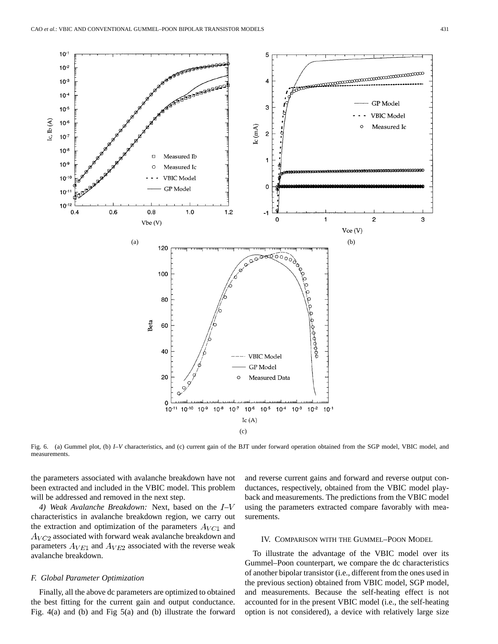

Fig. 6. (a) Gummel plot, (b) *I–V* characteristics, and (c) current gain of the BJT under forward operation obtained from the SGP model, VBIC model, and measurements.

the parameters associated with avalanche breakdown have not been extracted and included in the VBIC model. This problem will be addressed and removed in the next step.

4) Weak Avalanche Breakdown: Next, based on the  $I-V$ characteristics in avalanche breakdown region, we carry out the extraction and optimization of the parameters  $A_{VC1}$  and  $A_{VC2}$  associated with forward weak avalanche breakdown and parameters  $A_{VE1}$  and  $A_{VE2}$  associated with the reverse weak avalanche breakdown.

# *F. Global Parameter Optimization*

Finally, all the above dc parameters are optimized to obtained the best fitting for the current gain and output conductance. Fig. 4(a) and (b) and Fig 5(a) and (b) illustrate the forward and reverse current gains and forward and reverse output conductances, respectively, obtained from the VBIC model playback and measurements. The predictions from the VBIC model using the parameters extracted compare favorably with measurements.

# IV. COMPARISON WITH THE GUMMEL–POON MODEL

To illustrate the advantage of the VBIC model over its Gummel–Poon counterpart, we compare the dc characteristics of another bipolar transistor (i.e., different from the ones used in the previous section) obtained from VBIC model, SGP model, and measurements. Because the self-heating effect is not accounted for in the present VBIC model (i.e., the self-heating option is not considered), a device with relatively large size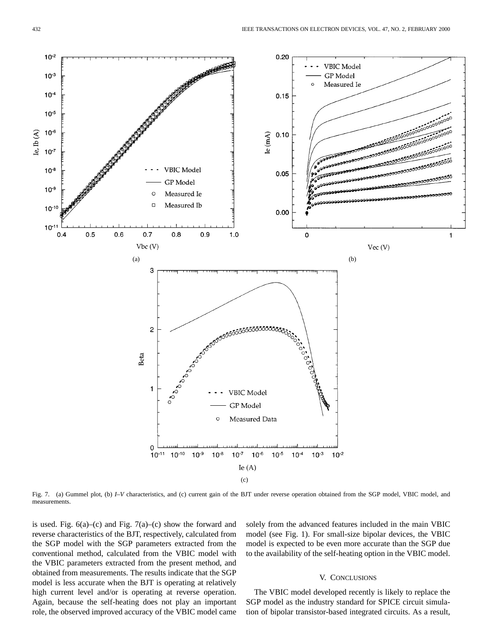

Fig. 7. (a) Gummel plot, (b) *I–V* characteristics, and (c) current gain of the BJT under reverse operation obtained from the SGP model, VBIC model, and measurements.

is used. Fig.  $6(a)$ –(c) and Fig.  $7(a)$ –(c) show the forward and reverse characteristics of the BJT, respectively, calculated from the SGP model with the SGP parameters extracted from the conventional method, calculated from the VBIC model with the VBIC parameters extracted from the present method, and obtained from measurements. The results indicate that the SGP model is less accurate when the BJT is operating at relatively high current level and/or is operating at reverse operation. Again, because the self-heating does not play an important role, the observed improved accuracy of the VBIC model came solely from the advanced features included in the main VBIC model (see Fig. 1). For small-size bipolar devices, the VBIC model is expected to be even more accurate than the SGP due to the availability of the self-heating option in the VBIC model.

# V. CONCLUSIONS

The VBIC model developed recently is likely to replace the SGP model as the industry standard for SPICE circuit simulation of bipolar transistor-based integrated circuits. As a result,